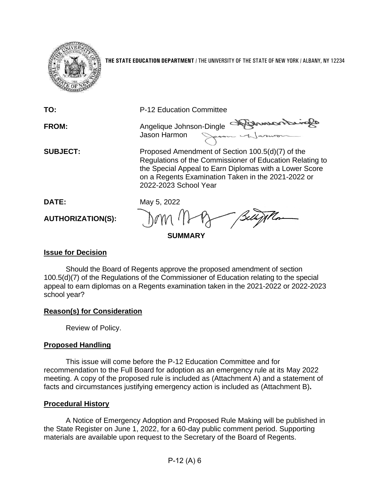

**THE STATE EDUCATION DEPARTMENT** / THE UNIVERSITY OF THE STATE OF NEW YORK / ALBANY, NY 12234

| P-12 Education Committee                                                                                                                                                                                                                              |
|-------------------------------------------------------------------------------------------------------------------------------------------------------------------------------------------------------------------------------------------------------|
| Diamon<br>Angelique Johnson-Dingle<br>Jason Harmon                                                                                                                                                                                                    |
| Proposed Amendment of Section 100.5(d)(7) of the<br>Regulations of the Commissioner of Education Relating to<br>the Special Appeal to Earn Diplomas with a Lower Score<br>on a Regents Examination Taken in the 2021-2022 or<br>2022-2023 School Year |
| May 5, 2022                                                                                                                                                                                                                                           |
| - Belly                                                                                                                                                                                                                                               |
| <b>SUMMARY</b>                                                                                                                                                                                                                                        |
|                                                                                                                                                                                                                                                       |

## **Issue for Decision**

Should the Board of Regents approve the proposed amendment of section 100.5(d)(7) of the Regulations of the Commissioner of Education relating to the special appeal to earn diplomas on a Regents examination taken in the 2021-2022 or 2022-2023 school year?

# **Reason(s) for Consideration**

Review of Policy.

# **Proposed Handling**

This issue will come before the P-12 Education Committee and for recommendation to the Full Board for adoption as an emergency rule at its May 2022 meeting. A copy of the proposed rule is included as (Attachment A) and a statement of facts and circumstances justifying emergency action is included as (Attachment B)**.**

## **Procedural History**

A Notice of Emergency Adoption and Proposed Rule Making will be published in the State Register on June 1, 2022, for a 60-day public comment period. Supporting materials are available upon request to the Secretary of the Board of Regents.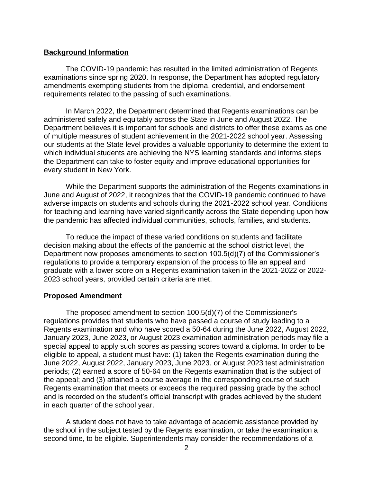### **Background Information**

The COVID-19 pandemic has resulted in the limited administration of Regents examinations since spring 2020. In response, the Department has adopted regulatory amendments exempting students from the diploma, credential, and endorsement requirements related to the passing of such examinations.

In March 2022, the Department determined that Regents examinations can be administered safely and equitably across the State in June and August 2022. The Department believes it is important for schools and districts to offer these exams as one of multiple measures of student achievement in the 2021-2022 school year. Assessing our students at the State level provides a valuable opportunity to determine the extent to which individual students are achieving the NYS learning standards and informs steps the Department can take to foster equity and improve educational opportunities for every student in New York.

While the Department supports the administration of the Regents examinations in June and August of 2022, it recognizes that the COVID-19 pandemic continued to have adverse impacts on students and schools during the 2021-2022 school year. Conditions for teaching and learning have varied significantly across the State depending upon how the pandemic has affected individual communities, schools, families, and students.

To reduce the impact of these varied conditions on students and facilitate decision making about the effects of the pandemic at the school district level, the Department now proposes amendments to section 100.5(d)(7) of the Commissioner's regulations to provide a temporary expansion of the process to file an appeal and graduate with a lower score on a Regents examination taken in the 2021-2022 or 2022- 2023 school years, provided certain criteria are met.

#### **Proposed Amendment**

The proposed amendment to section 100.5(d)(7) of the Commissioner's regulations provides that students who have passed a course of study leading to a Regents examination and who have scored a 50-64 during the June 2022, August 2022, January 2023, June 2023, or August 2023 examination administration periods may file a special appeal to apply such scores as passing scores toward a diploma. In order to be eligible to appeal, a student must have: (1) taken the Regents examination during the June 2022, August 2022, January 2023, June 2023, or August 2023 test administration periods; (2) earned a score of 50-64 on the Regents examination that is the subject of the appeal; and (3) attained a course average in the corresponding course of such Regents examination that meets or exceeds the required passing grade by the school and is recorded on the student's official transcript with grades achieved by the student in each quarter of the school year.

A student does not have to take advantage of academic assistance provided by the school in the subject tested by the Regents examination, or take the examination a second time, to be eligible. Superintendents may consider the recommendations of a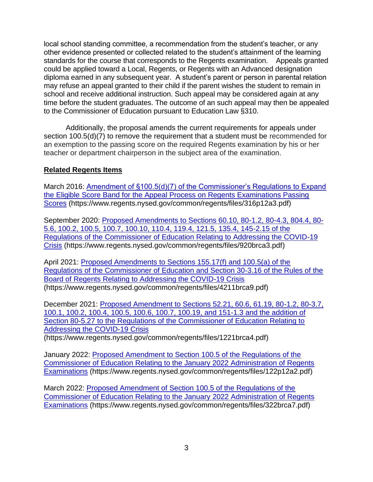local school standing committee, a recommendation from the student's teacher, or any other evidence presented or collected related to the student's attainment of the learning standards for the course that corresponds to the Regents examination. Appeals granted could be applied toward a Local, Regents, or Regents with an Advanced designation diploma earned in any subsequent year. A student's parent or person in parental relation may refuse an appeal granted to their child if the parent wishes the student to remain in school and receive additional instruction. Such appeal may be considered again at any time before the student graduates. The outcome of an such appeal may then be appealed to the Commissioner of Education pursuant to Education Law §310.

Additionally, the proposal amends the current requirements for appeals under section 100.5(d)(7) to remove the requirement that a student must be recommended for an exemption to the passing score on the required Regents examination by his or her teacher or department chairperson in the subject area of the examination.

# **Related Regents Items**

March 2016: Amendment of §100.5(d)(7) of the Commissioner's Regulations to Expand [the Eligible Score Band for the Appeal Process on Regents Examinations Passing](https://www.regents.nysed.gov/common/regents/files/316p12a3.pdf)  [Scores](https://www.regents.nysed.gov/common/regents/files/316p12a3.pdf) (https://www.regents.nysed.gov/common/regents/files/316p12a3.pdf)

September 2020: [Proposed Amendments to Sections 60.10, 80-1.2, 80-4.3, 804.4, 80-](https://www.regents.nysed.gov/common/regents/files/920brca3.pdf) [5.6, 100.2, 100.5, 100.7, 100.10, 110.4, 119.4, 121.5, 135.4, 145-2.15 of the](https://www.regents.nysed.gov/common/regents/files/920brca3.pdf)  [Regulations of the Commissioner of Education Relating to Addressing the COVID-19](https://www.regents.nysed.gov/common/regents/files/920brca3.pdf)  [Crisis](https://www.regents.nysed.gov/common/regents/files/920brca3.pdf) (https://www.regents.nysed.gov/common/regents/files/920brca3.pdf)

April 2021: [Proposed Amendments to Sections 155.17\(f\) and 100.5\(a\) of the](https://www.regents.nysed.gov/common/regents/files/4211brca9.pdf)  [Regulations of the Commissioner of Education and Section 30-3.16 of the Rules of the](https://www.regents.nysed.gov/common/regents/files/4211brca9.pdf)  [Board of Regents Relating to Addressing the COVID-19 Crisis](https://www.regents.nysed.gov/common/regents/files/4211brca9.pdf) (https://www.regents.nysed.gov/common/regents/files/4211brca9.pdf)

December 2021: [Proposed Amendment to Sections 52.21, 60.6, 61.19, 80-1.2, 80-3.7,](https://www.regents.nysed.gov/common/regents/files/1221brca4.pdf)  [100.1, 100.2, 100.4, 100.5, 100.6, 100.7, 100.19,](https://www.regents.nysed.gov/common/regents/files/1221brca4.pdf) and 151-1.3 and the addition of [Section 80-5.27 to the Regulations of the Commissioner of Education Relating to](https://www.regents.nysed.gov/common/regents/files/1221brca4.pdf)  [Addressing the COVID-19 Crisis](https://www.regents.nysed.gov/common/regents/files/1221brca4.pdf)

(https://www.regents.nysed.gov/common/regents/files/1221brca4.pdf)

January 2022: [Proposed Amendment to Section 100.5 of the Regulations of the](https://www.regents.nysed.gov/common/regents/files/122p12a2.pdf)  [Commissioner of Education Relating to the January 2022 Administration of Regents](https://www.regents.nysed.gov/common/regents/files/122p12a2.pdf)  [Examinations](https://www.regents.nysed.gov/common/regents/files/122p12a2.pdf) (https://www.regents.nysed.gov/common/regents/files/122p12a2.pdf)

March 2022: [Proposed Amendment of Section 100.5 of the Regulations of the](https://www.regents.nysed.gov/common/regents/files/322brca7.pdf)  [Commissioner of Education Relating to the January](https://www.regents.nysed.gov/common/regents/files/322brca7.pdf) 2022 Administration of Regents [Examinations](https://www.regents.nysed.gov/common/regents/files/322brca7.pdf) (https://www.regents.nysed.gov/common/regents/files/322brca7.pdf)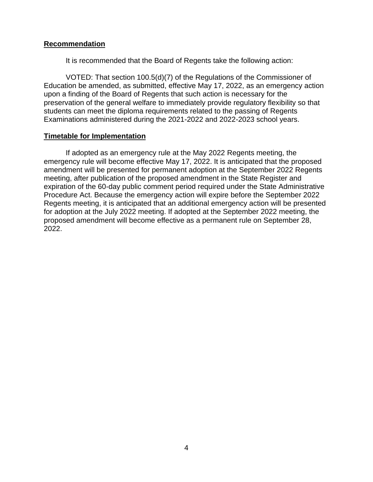## **Recommendation**

It is recommended that the Board of Regents take the following action:

VOTED: That section 100.5(d)(7) of the Regulations of the Commissioner of Education be amended, as submitted, effective May 17, 2022, as an emergency action upon a finding of the Board of Regents that such action is necessary for the preservation of the general welfare to immediately provide regulatory flexibility so that students can meet the diploma requirements related to the passing of Regents Examinations administered during the 2021-2022 and 2022-2023 school years.

### **Timetable for Implementation**

If adopted as an emergency rule at the May 2022 Regents meeting, the emergency rule will become effective May 17, 2022. It is anticipated that the proposed amendment will be presented for permanent adoption at the September 2022 Regents meeting, after publication of the proposed amendment in the State Register and expiration of the 60-day public comment period required under the State Administrative Procedure Act. Because the emergency action will expire before the September 2022 Regents meeting, it is anticipated that an additional emergency action will be presented for adoption at the July 2022 meeting. If adopted at the September 2022 meeting, the proposed amendment will become effective as a permanent rule on September 28, 2022.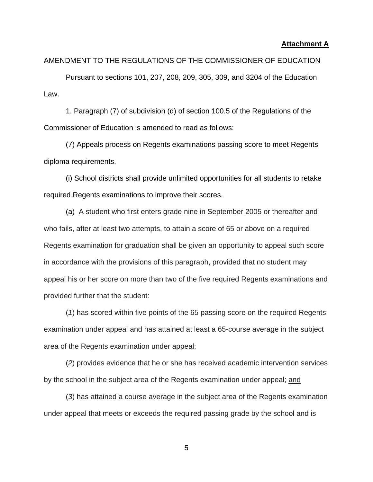#### **Attachment A**

#### AMENDMENT TO THE REGULATIONS OF THE COMMISSIONER OF EDUCATION

Pursuant to sections 101, 207, 208, 209, 305, 309, and 3204 of the Education Law.

1. Paragraph (7) of subdivision (d) of section 100.5 of the Regulations of the Commissioner of Education is amended to read as follows:

(7) Appeals process on Regents examinations passing score to meet Regents diploma requirements.

(i) School districts shall provide unlimited opportunities for all students to retake required Regents examinations to improve their scores.

(a) A student who first enters grade nine in September 2005 or thereafter and who fails, after at least two attempts, to attain a score of 65 or above on a required Regents examination for graduation shall be given an opportunity to appeal such score in accordance with the provisions of this paragraph, provided that no student may appeal his or her score on more than two of the five required Regents examinations and provided further that the student:

(*1*) has scored within five points of the 65 passing score on the required Regents examination under appeal and has attained at least a 65-course average in the subject area of the Regents examination under appeal;

(*2*) provides evidence that he or she has received academic intervention services by the school in the subject area of the Regents examination under appeal; and

(*3*) has attained a course average in the subject area of the Regents examination under appeal that meets or exceeds the required passing grade by the school and is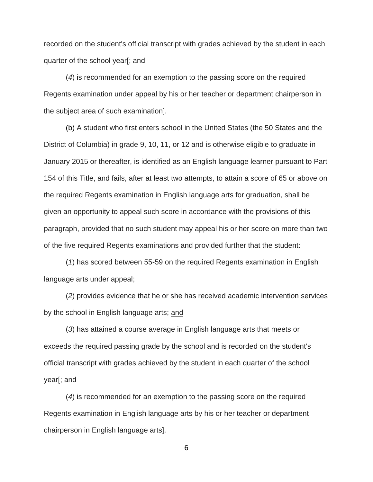recorded on the student's official transcript with grades achieved by the student in each quarter of the school year[; and

(*4*) is recommended for an exemption to the passing score on the required Regents examination under appeal by his or her teacher or department chairperson in the subject area of such examination].

(b) A student who first enters school in the United States (the 50 States and the District of Columbia) in grade 9, 10, 11, or 12 and is otherwise eligible to graduate in January 2015 or thereafter, is identified as an English language learner pursuant to Part 154 of this Title, and fails, after at least two attempts, to attain a score of 65 or above on the required Regents examination in English language arts for graduation, shall be given an opportunity to appeal such score in accordance with the provisions of this paragraph, provided that no such student may appeal his or her score on more than two of the five required Regents examinations and provided further that the student:

(*1*) has scored between 55-59 on the required Regents examination in English language arts under appeal;

(*2*) provides evidence that he or she has received academic intervention services by the school in English language arts; and

(*3*) has attained a course average in English language arts that meets or exceeds the required passing grade by the school and is recorded on the student's official transcript with grades achieved by the student in each quarter of the school year[; and

(*4*) is recommended for an exemption to the passing score on the required Regents examination in English language arts by his or her teacher or department chairperson in English language arts].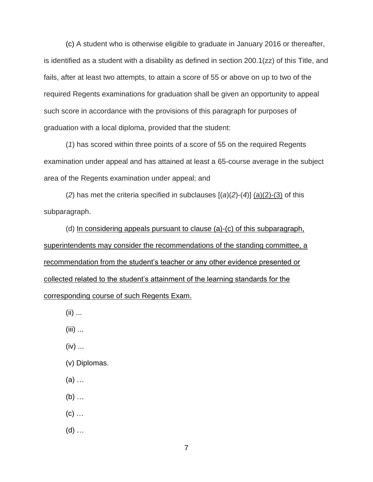(c) A student who is otherwise eligible to graduate in January 2016 or thereafter, is identified as a student with a disability as defined in section 200.1(zz) of this Title, and fails, after at least two attempts, to attain a score of 55 or above on up to two of the required Regents examinations for graduation shall be given an opportunity to appeal such score in accordance with the provisions of this paragraph for purposes of graduation with a local diploma, provided that the student:

(*1*) has scored within three points of a score of 55 on the required Regents examination under appeal and has attained at least a 65-course average in the subject area of the Regents examination under appeal; and

(*2*) has met the criteria specified in subclauses [(*a*)(*2*)-(*4*)] (a)(2)-(3) of this subparagraph.

(d) In considering appeals pursuant to clause (a)-(c) of this subparagraph, superintendents may consider the recommendations of the standing committee, a recommendation from the student's teacher or any other evidence presented or collected related to the student's attainment of the learning standards for the corresponding course of such Regents Exam.

- (ii) ...
- (iii) ...
- (iv) ...
- (v) Diplomas.
- (a) …
- (b) …
- $(c)$  ...
- (d) …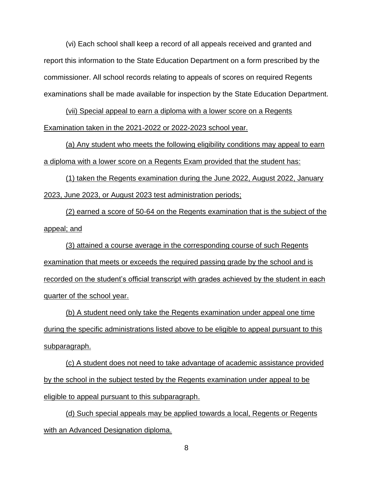(vi) Each school shall keep a record of all appeals received and granted and report this information to the State Education Department on a form prescribed by the commissioner. All school records relating to appeals of scores on required Regents examinations shall be made available for inspection by the State Education Department.

(vii) Special appeal to earn a diploma with a lower score on a Regents Examination taken in the 2021-2022 or 2022-2023 school year.

(a) Any student who meets the following eligibility conditions may appeal to earn a diploma with a lower score on a Regents Exam provided that the student has:

(1) taken the Regents examination during the June 2022, August 2022, January 2023, June 2023, or August 2023 test administration periods;

(2) earned a score of 50-64 on the Regents examination that is the subject of the appeal; and

(3) attained a course average in the corresponding course of such Regents examination that meets or exceeds the required passing grade by the school and is recorded on the student's official transcript with grades achieved by the student in each quarter of the school year.

(b) A student need only take the Regents examination under appeal one time during the specific administrations listed above to be eligible to appeal pursuant to this subparagraph.

(c) A student does not need to take advantage of academic assistance provided by the school in the subject tested by the Regents examination under appeal to be eligible to appeal pursuant to this subparagraph.

(d) Such special appeals may be applied towards a local, Regents or Regents with an Advanced Designation diploma.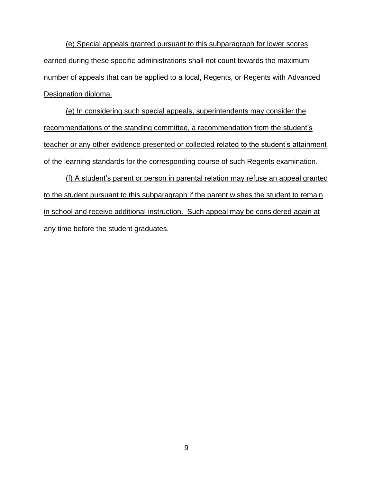(e) Special appeals granted pursuant to this subparagraph for lower scores earned during these specific administrations shall not count towards the maximum number of appeals that can be applied to a local, Regents, or Regents with Advanced Designation diploma.

(e) In considering such special appeals, superintendents may consider the recommendations of the standing committee, a recommendation from the student's teacher or any other evidence presented or collected related to the student's attainment of the learning standards for the corresponding course of such Regents examination.

(f) A student's parent or person in parental relation may refuse an appeal granted to the student pursuant to this subparagraph if the parent wishes the student to remain in school and receive additional instruction. Such appeal may be considered again at any time before the student graduates.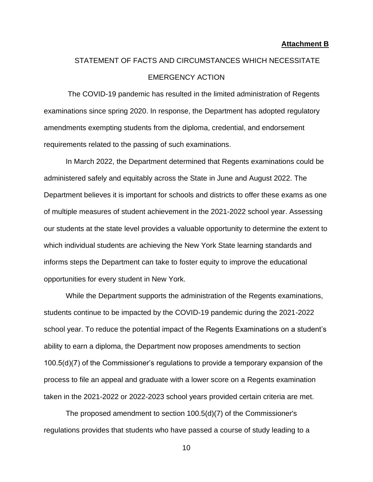#### **Attachment B**

# STATEMENT OF FACTS AND CIRCUMSTANCES WHICH NECESSITATE EMERGENCY ACTION

The COVID-19 pandemic has resulted in the limited administration of Regents examinations since spring 2020. In response, the Department has adopted regulatory amendments exempting students from the diploma, credential, and endorsement requirements related to the passing of such examinations.

In March 2022, the Department determined that Regents examinations could be administered safely and equitably across the State in June and August 2022. The Department believes it is important for schools and districts to offer these exams as one of multiple measures of student achievement in the 2021-2022 school year. Assessing our students at the state level provides a valuable opportunity to determine the extent to which individual students are achieving the New York State learning standards and informs steps the Department can take to foster equity to improve the educational opportunities for every student in New York.

While the Department supports the administration of the Regents examinations, students continue to be impacted by the COVID-19 pandemic during the 2021-2022 school year. To reduce the potential impact of the Regents Examinations on a student's ability to earn a diploma, the Department now proposes amendments to section 100.5(d)(7) of the Commissioner's regulations to provide a temporary expansion of the process to file an appeal and graduate with a lower score on a Regents examination taken in the 2021-2022 or 2022-2023 school years provided certain criteria are met.

The proposed amendment to section 100.5(d)(7) of the Commissioner's regulations provides that students who have passed a course of study leading to a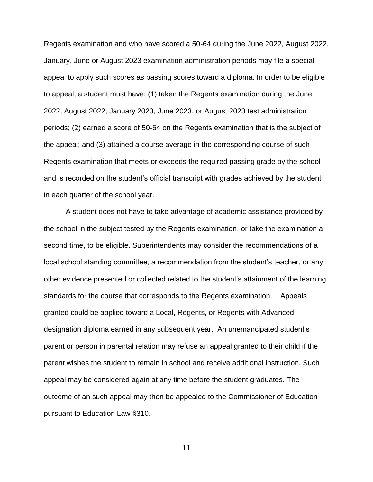Regents examination and who have scored a 50-64 during the June 2022, August 2022, January, June or August 2023 examination administration periods may file a special appeal to apply such scores as passing scores toward a diploma. In order to be eligible to appeal, a student must have: (1) taken the Regents examination during the June 2022, August 2022, January 2023, June 2023, or August 2023 test administration periods; (2) earned a score of 50-64 on the Regents examination that is the subject of the appeal; and (3) attained a course average in the corresponding course of such Regents examination that meets or exceeds the required passing grade by the school and is recorded on the student's official transcript with grades achieved by the student in each quarter of the school year.

A student does not have to take advantage of academic assistance provided by the school in the subject tested by the Regents examination, or take the examination a second time, to be eligible. Superintendents may consider the recommendations of a local school standing committee, a recommendation from the student's teacher, or any other evidence presented or collected related to the student's attainment of the learning standards for the course that corresponds to the Regents examination. Appeals granted could be applied toward a Local, Regents, or Regents with Advanced designation diploma earned in any subsequent year. An unemancipated student's parent or person in parental relation may refuse an appeal granted to their child if the parent wishes the student to remain in school and receive additional instruction. Such appeal may be considered again at any time before the student graduates. The outcome of an such appeal may then be appealed to the Commissioner of Education pursuant to Education Law §310.